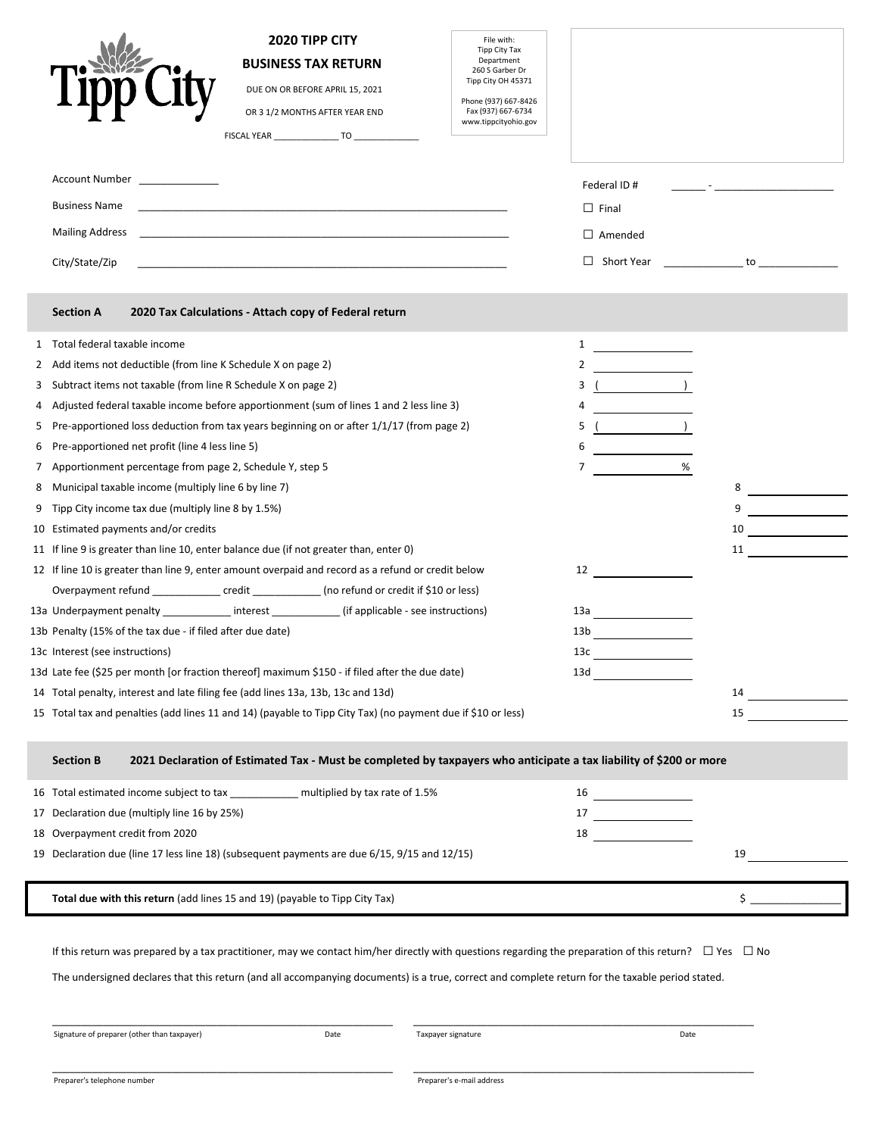|   | 2020 TIPP CITY<br>File with:<br>Tipp City Tax<br>Department<br><b>BUSINESS TAX RETURN</b><br>260 S Garber Dr<br>Tipp City OH 45371<br>DUE ON OR BEFORE APRIL 15, 2021<br>Phone (937) 667-8426<br>Fax (937) 667-6734<br>OR 3 1/2 MONTHS AFTER YEAR END<br>www.tippcityohio.gov<br>Account Number<br><b>Business Name</b><br><b>Mailing Address</b><br><u> 1989 - Johann Stein, mars ar yn y brenin y brenin y brenin y brenin y brenin y brenin y brenin y brenin y br</u><br>City/State/Zip<br>and the control of the control of the control of the control of the control of the control of the control of the | Federal ID#<br><u> 1999 - Andrea Stein, amerikansk politiker (</u><br>$\Box$ Final<br>$\Box$ Amended |
|---|-----------------------------------------------------------------------------------------------------------------------------------------------------------------------------------------------------------------------------------------------------------------------------------------------------------------------------------------------------------------------------------------------------------------------------------------------------------------------------------------------------------------------------------------------------------------------------------------------------------------|------------------------------------------------------------------------------------------------------|
|   | <b>Section A</b><br>2020 Tax Calculations - Attach copy of Federal return                                                                                                                                                                                                                                                                                                                                                                                                                                                                                                                                       |                                                                                                      |
|   | 1 Total federal taxable income<br>1                                                                                                                                                                                                                                                                                                                                                                                                                                                                                                                                                                             |                                                                                                      |
| 2 | 2<br>Add items not deductible (from line K Schedule X on page 2)                                                                                                                                                                                                                                                                                                                                                                                                                                                                                                                                                |                                                                                                      |
| 3 | Subtract items not taxable (from line R Schedule X on page 2)<br>3                                                                                                                                                                                                                                                                                                                                                                                                                                                                                                                                              | $($ )                                                                                                |
| 4 | Adjusted federal taxable income before apportionment (sum of lines 1 and 2 less line 3)<br>4                                                                                                                                                                                                                                                                                                                                                                                                                                                                                                                    |                                                                                                      |
| 5 | Pre-apportioned loss deduction from tax years beginning on or after 1/1/17 (from page 2)<br>5                                                                                                                                                                                                                                                                                                                                                                                                                                                                                                                   | $\overline{\phantom{a}}$                                                                             |
| 6 | Pre-apportioned net profit (line 4 less line 5)<br>6                                                                                                                                                                                                                                                                                                                                                                                                                                                                                                                                                            |                                                                                                      |
|   | 7 Apportionment percentage from page 2, Schedule Y, step 5<br>7                                                                                                                                                                                                                                                                                                                                                                                                                                                                                                                                                 |                                                                                                      |
| 8 | Municipal taxable income (multiply line 6 by line 7)                                                                                                                                                                                                                                                                                                                                                                                                                                                                                                                                                            | 8                                                                                                    |
| 9 | Tipp City income tax due (multiply line 8 by 1.5%)                                                                                                                                                                                                                                                                                                                                                                                                                                                                                                                                                              | 9                                                                                                    |
|   | 10 Estimated payments and/or credits                                                                                                                                                                                                                                                                                                                                                                                                                                                                                                                                                                            | 10<br>and the company of the company                                                                 |
|   | 11 If line 9 is greater than line 10, enter balance due (if not greater than, enter 0)                                                                                                                                                                                                                                                                                                                                                                                                                                                                                                                          | 11                                                                                                   |
|   | 12 If line 10 is greater than line 9, enter amount overpaid and record as a refund or credit below<br>12                                                                                                                                                                                                                                                                                                                                                                                                                                                                                                        |                                                                                                      |
|   | Overpayment refund _______________ credit _____________ (no refund or credit if \$10 or less)                                                                                                                                                                                                                                                                                                                                                                                                                                                                                                                   |                                                                                                      |
|   | 13a Underpayment penalty ____________ interest ___________ (if applicable - see instructions)<br>13а                                                                                                                                                                                                                                                                                                                                                                                                                                                                                                            |                                                                                                      |
|   | 13b Penalty (15% of the tax due - if filed after due date)<br>13 <sub>b</sub>                                                                                                                                                                                                                                                                                                                                                                                                                                                                                                                                   |                                                                                                      |
|   | 13c Interest (see instructions)<br>13c                                                                                                                                                                                                                                                                                                                                                                                                                                                                                                                                                                          |                                                                                                      |
|   | 13d Late fee (\$25 per month [or fraction thereof] maximum \$150 - if filed after the due date)<br>13d                                                                                                                                                                                                                                                                                                                                                                                                                                                                                                          |                                                                                                      |
|   | 14 Total penalty, interest and late filing fee (add lines 13a, 13b, 13c and 13d)                                                                                                                                                                                                                                                                                                                                                                                                                                                                                                                                | 14                                                                                                   |
|   | 15 Total tax and penalties (add lines 11 and 14) (payable to Tipp City Tax) (no payment due if \$10 or less)                                                                                                                                                                                                                                                                                                                                                                                                                                                                                                    | 15                                                                                                   |
|   | 2021 Declaration of Estimated Tax - Must be completed by taxpayers who anticipate a tax liability of \$200 or more<br><b>Section B</b>                                                                                                                                                                                                                                                                                                                                                                                                                                                                          |                                                                                                      |
|   | 16 Total estimated income subject to tax _______________ multiplied by tax rate of 1.5%<br>16                                                                                                                                                                                                                                                                                                                                                                                                                                                                                                                   |                                                                                                      |
|   | 17 Declaration due (multiply line 16 by 25%)                                                                                                                                                                                                                                                                                                                                                                                                                                                                                                                                                                    |                                                                                                      |
|   | 18 Overpayment credit from 2020<br>18                                                                                                                                                                                                                                                                                                                                                                                                                                                                                                                                                                           |                                                                                                      |
|   | 19 Declaration due (line 17 less line 18) (subsequent payments are due 6/15, 9/15 and 12/15)                                                                                                                                                                                                                                                                                                                                                                                                                                                                                                                    | 19                                                                                                   |
|   | Total due with this return (add lines 15 and 19) (payable to Tipp City Tax)                                                                                                                                                                                                                                                                                                                                                                                                                                                                                                                                     | \$                                                                                                   |
|   |                                                                                                                                                                                                                                                                                                                                                                                                                                                                                                                                                                                                                 |                                                                                                      |

If this return was prepared by a tax practitioner, may we contact him/her directly with questions regarding the preparation of this return?  $\Box$  Yes  $\Box$  No

The undersigned declares that this return (and all accompanying documents) is a true, correct and complete return for the taxable period stated.

Signature of preparer (other than taxpayer) Date Taxpayer signature Date

\_\_\_\_\_\_\_\_\_\_\_\_\_\_\_\_\_\_\_\_\_\_\_\_\_\_\_\_\_\_\_\_\_\_\_\_\_\_\_\_\_\_\_\_\_\_\_\_\_\_\_\_\_\_\_\_\_\_\_\_ \_\_\_\_\_\_\_\_\_\_\_\_\_\_\_\_\_\_\_\_\_\_\_\_\_\_\_\_\_\_\_\_\_\_\_\_\_\_\_\_\_\_\_\_\_\_\_\_\_\_\_\_\_\_\_\_\_\_\_\_